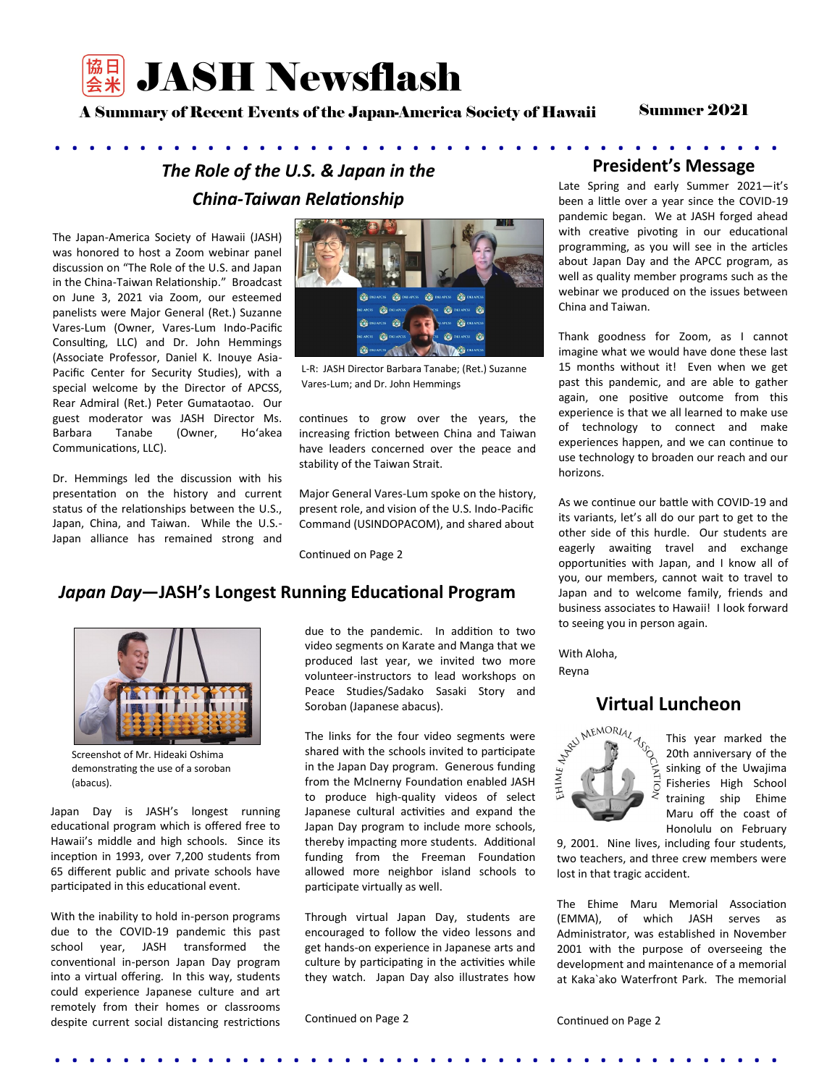

A Summary of Recent Events of the Japan-America Society of Hawaii

Summer 2021

## . . . . . . . . . . . . . . . . . . . . . . . . . . . . . . . . . . . . . . . . . . . *The Role of the U.S. & Japan in the China-Taiwan Relationship*

The Japan-America Society of Hawaii (JASH) was honored to host a Zoom webinar panel discussion on "The Role of the U.S. and Japan in the China-Taiwan Relationship." Broadcast on June 3, 2021 via Zoom, our esteemed panelists were Major General (Ret.) Suzanne Vares-Lum (Owner, Vares-Lum Indo-Pacific Consulting, LLC) and Dr. John Hemmings (Associate Professor, Daniel K. Inouye Asia-Pacific Center for Security Studies), with a special welcome by the Director of APCSS, Rear Admiral (Ret.) Peter Gumataotao. Our guest moderator was JASH Director Ms. Barbara Tanabe (Owner, Hoʻakea Communications, LLC).

Dr. Hemmings led the discussion with his presentation on the history and current status of the relationships between the U.S., Japan, China, and Taiwan. While the U.S.- Japan alliance has remained strong and



L-R: JASH Director Barbara Tanabe; (Ret.) Suzanne Vares-Lum; and Dr. John Hemmings

continues to grow over the years, the increasing friction between China and Taiwan have leaders concerned over the peace and stability of the Taiwan Strait.

Major General Vares-Lum spoke on the history, present role, and vision of the U.S. Indo-Pacific Command (USINDOPACOM), and shared about

Continued on Page 2

### *Japan Day***—JASH's Longest Running Educational Program**



Screenshot of Mr. Hideaki Oshima demonstrating the use of a soroban (abacus).

Japan Day is JASH's longest running educational program which is offered free to Hawaii's middle and high schools. Since its inception in 1993, over 7,200 students from 65 different public and private schools have participated in this educational event.

With the inability to hold in-person programs due to the COVID-19 pandemic this past school year, JASH transformed the conventional in-person Japan Day program into a virtual offering. In this way, students could experience Japanese culture and art remotely from their homes or classrooms despite current social distancing restrictions due to the pandemic. In addition to two video segments on Karate and Manga that we produced last year, we invited two more volunteer-instructors to lead workshops on Peace Studies/Sadako Sasaki Story and Soroban (Japanese abacus).

The links for the four video segments were shared with the schools invited to participate in the Japan Day program. Generous funding from the McInerny Foundation enabled JASH to produce high-quality videos of select Japanese cultural activities and expand the Japan Day program to include more schools, thereby impacting more students. Additional funding from the Freeman Foundation allowed more neighbor island schools to participate virtually as well.

Through virtual Japan Day, students are encouraged to follow the video lessons and get hands-on experience in Japanese arts and culture by participating in the activities while they watch. Japan Day also illustrates how

. . . . . . . . . . . . . . . . . . . . . . . . . . . . . . . . . . . . . . . . . . .

Continued on Page 2

### **President's Message**

Late Spring and early Summer 2021—it's been a little over a year since the COVID-19 pandemic began. We at JASH forged ahead with creative pivoting in our educational programming, as you will see in the articles about Japan Day and the APCC program, as well as quality member programs such as the webinar we produced on the issues between China and Taiwan.

Thank goodness for Zoom, as I cannot imagine what we would have done these last 15 months without it! Even when we get past this pandemic, and are able to gather again, one positive outcome from this experience is that we all learned to make use of technology to connect and make experiences happen, and we can continue to use technology to broaden our reach and our horizons.

As we continue our battle with COVID-19 and its variants, let's all do our part to get to the other side of this hurdle. Our students are eagerly awaiting travel and exchange opportunities with Japan, and I know all of you, our members, cannot wait to travel to Japan and to welcome family, friends and business associates to Hawaii! I look forward to seeing you in person again.

With Aloha, Reyna

## **Virtual Luncheon**



20th anniversary of the sinking of the Uwajima Fisheries High School training ship Ehime Maru off the coast of Honolulu on February

9, 2001. Nine lives, including four students, two teachers, and three crew members were lost in that tragic accident.

The Ehime Maru Memorial Association (EMMA), of which JASH serves as Administrator, was established in November 2001 with the purpose of overseeing the development and maintenance of a memorial at Kaka`ako Waterfront Park. The memorial

Continued on Page 2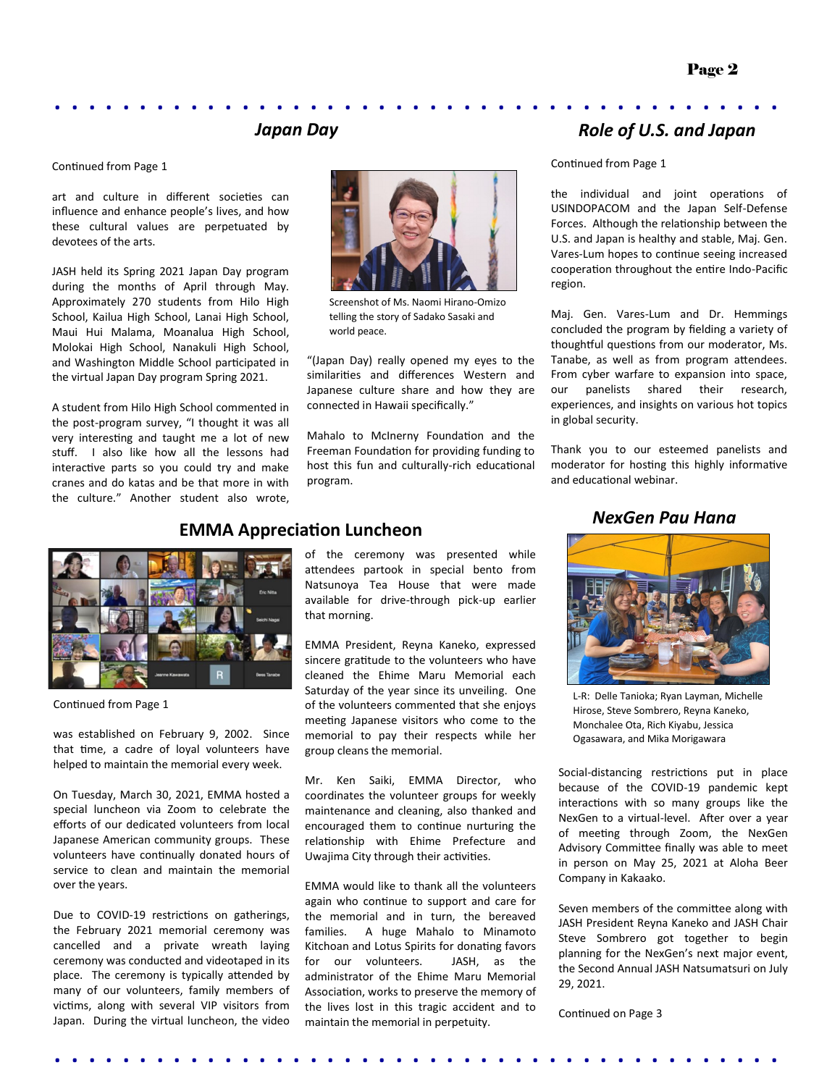# . . . . . . . . . . . . . . . . . . . . . . . . . . . . . . . . . . . . . . . . . . . *Japan Day*

#### Continued from Page 1

art and culture in different societies can influence and enhance people's lives, and how these cultural values are perpetuated by devotees of the arts.

JASH held its Spring 2021 Japan Day program during the months of April through May. Approximately 270 students from Hilo High School, Kailua High School, Lanai High School, Maui Hui Malama, Moanalua High School, Molokai High School, Nanakuli High School, and Washington Middle School participated in the virtual Japan Day program Spring 2021.

A student from Hilo High School commented in the post-program survey, "I thought it was all very interesting and taught me a lot of new stuff. I also like how all the lessons had interactive parts so you could try and make cranes and do katas and be that more in with the culture." Another student also wrote,



Screenshot of Ms. Naomi Hirano-Omizo telling the story of Sadako Sasaki and world peace.

"(Japan Day) really opened my eyes to the similarities and differences Western and Japanese culture share and how they are connected in Hawaii specifically."

Mahalo to McInerny Foundation and the Freeman Foundation for providing funding to host this fun and culturally-rich educational program.

## *Role of U.S. and Japan*

Continued from Page 1

the individual and joint operations of USINDOPACOM and the Japan Self-Defense Forces. Although the relationship between the U.S. and Japan is healthy and stable, Maj. Gen. Vares-Lum hopes to continue seeing increased cooperation throughout the entire Indo-Pacific region.

Maj. Gen. Vares-Lum and Dr. Hemmings concluded the program by fielding a variety of thoughtful questions from our moderator, Ms. Tanabe, as well as from program attendees. From cyber warfare to expansion into space, our panelists shared their research, experiences, and insights on various hot topics in global security.

Thank you to our esteemed panelists and moderator for hosting this highly informative and educational webinar.

### *NexGen Pau Hana*



Continued from Page 1

was established on February 9, 2002. Since that time, a cadre of loyal volunteers have helped to maintain the memorial every week.

On Tuesday, March 30, 2021, EMMA hosted a special luncheon via Zoom to celebrate the efforts of our dedicated volunteers from local Japanese American community groups. These volunteers have continually donated hours of service to clean and maintain the memorial over the years.

Due to COVID-19 restrictions on gatherings, the February 2021 memorial ceremony was cancelled and a private wreath laying ceremony was conducted and videotaped in its place. The ceremony is typically attended by many of our volunteers, family members of victims, along with several VIP visitors from Japan. During the virtual luncheon, the video

# **EMMA Appreciation Luncheon**

of the ceremony was presented while attendees partook in special bento from Natsunoya Tea House that were made available for drive-through pick-up earlier that morning.

EMMA President, Reyna Kaneko, expressed sincere gratitude to the volunteers who have cleaned the Ehime Maru Memorial each Saturday of the year since its unveiling. One of the volunteers commented that she enjoys meeting Japanese visitors who come to the memorial to pay their respects while her group cleans the memorial.

Mr. Ken Saiki, EMMA Director, who coordinates the volunteer groups for weekly maintenance and cleaning, also thanked and encouraged them to continue nurturing the relationship with Ehime Prefecture and Uwajima City through their activities.

EMMA would like to thank all the volunteers again who continue to support and care for the memorial and in turn, the bereaved families. A huge Mahalo to Minamoto Kitchoan and Lotus Spirits for donating favors for our volunteers. JASH, as the administrator of the Ehime Maru Memorial Association, works to preserve the memory of the lives lost in this tragic accident and to maintain the memorial in perpetuity.

. . . . . . . . . . . . . . . . . . . . . . . . . . . . . . . . . . . . . . . . . . .



L-R: Delle Tanioka; Ryan Layman, Michelle Hirose, Steve Sombrero, Reyna Kaneko, Monchalee Ota, Rich Kiyabu, Jessica Ogasawara, and Mika Morigawara

Social-distancing restrictions put in place because of the COVID-19 pandemic kept interactions with so many groups like the NexGen to a virtual-level. After over a year of meeting through Zoom, the NexGen Advisory Committee finally was able to meet in person on May 25, 2021 at Aloha Beer Company in Kakaako.

Seven members of the committee along with JASH President Reyna Kaneko and JASH Chair Steve Sombrero got together to begin planning for the NexGen's next major event, the Second Annual JASH Natsumatsuri on July 29, 2021.

Continued on Page 3